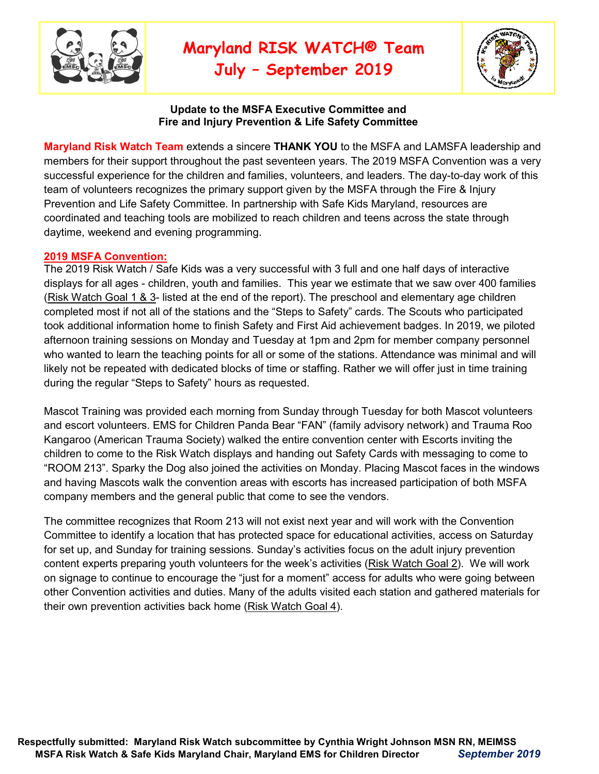

# **Maryland RISK WATCH® Team**

**July – September 2019**



#### **Update to the MSFA Executive Committee and Fire and Injury Prevention & Life Safety Committee**

**Maryland Risk Watch Team** extends a sincere **THANK YOU** to the MSFA and LAMSFA leadership and members for their support throughout the past seventeen years. The 2019 MSFA Convention was a very successful experience for the children and families, volunteers, and leaders. The day-to-day work of this team of volunteers recognizes the primary support given by the MSFA through the Fire & Injury Prevention and Life Safety Committee. In partnership with Safe Kids Maryland, resources are coordinated and teaching tools are mobilized to reach children and teens across the state through daytime, weekend and evening programming.

#### **2019 MSFA Convention:**

The 2019 Risk Watch / Safe Kids was a very successful with 3 full and one half days of interactive displays for all ages - children, youth and families. This year we estimate that we saw over 400 families (Risk Watch Goal 1 & 3- listed at the end of the report). The preschool and elementary age children completed most if not all of the stations and the "Steps to Safety" cards. The Scouts who participated took additional information home to finish Safety and First Aid achievement badges. In 2019, we piloted afternoon training sessions on Monday and Tuesday at 1pm and 2pm for member company personnel who wanted to learn the teaching points for all or some of the stations. Attendance was minimal and will likely not be repeated with dedicated blocks of time or staffing. Rather we will offer just in time training during the regular "Steps to Safety" hours as requested.

Mascot Training was provided each morning from Sunday through Tuesday for both Mascot volunteers and escort volunteers. EMS for Children Panda Bear "FAN" (family advisory network) and Trauma Roo Kangaroo (American Trauma Society) walked the entire convention center with Escorts inviting the children to come to the Risk Watch displays and handing out Safety Cards with messaging to come to "ROOM 213". Sparky the Dog also joined the activities on Monday. Placing Mascot faces in the windows and having Mascots walk the convention areas with escorts has increased participation of both MSFA company members and the general public that come to see the vendors.

The committee recognizes that Room 213 will not exist next year and will work with the Convention Committee to identify a location that has protected space for educational activities, access on Saturday for set up, and Sunday for training sessions. Sunday's activities focus on the adult injury prevention content experts preparing youth volunteers for the week's activities (Risk Watch Goal 2). We will work on signage to continue to encourage the "just for a moment" access for adults who were going between other Convention activities and duties. Many of the adults visited each station and gathered materials for their own prevention activities back home (Risk Watch Goal 4).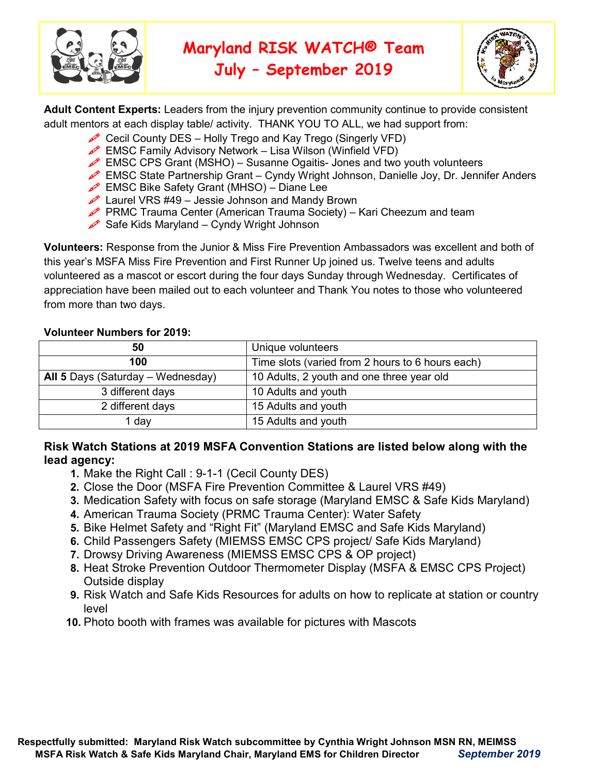

# **Maryland RISK WATCH® Team**



**July – September 2019**

**Adult Content Experts:** Leaders from the injury prevention community continue to provide consistent adult mentors at each display table/ activity. THANK YOU TO ALL, we had support from:

- Cecil County DES Holly Trego and Kay Trego (Singerly VFD)
- **EMSC Family Advisory Network** Lisa Wilson (Winfield VFD)
- **EMSC CPS Grant (MSHO)** Susanne Ogaitis- Jones and two youth volunteers
- EMSC State Partnership Grant Cyndy Wright Johnson, Danielle Joy, Dr. Jennifer Anders
- EMSC Bike Safety Grant (MHSO) Diane Lee
- Laurel VRS  $#49 -$  Jessie Johnson and Mandy Brown
- **PRMC Trauma Center (American Trauma Society)** Kari Cheezum and team
- Safe Kids Maryland Cyndy Wright Johnson

**Volunteers:** Response from the Junior & Miss Fire Prevention Ambassadors was excellent and both of this year's MSFA Miss Fire Prevention and First Runner Up joined us. Twelve teens and adults volunteered as a mascot or escort during the four days Sunday through Wednesday. Certificates of appreciation have been mailed out to each volunteer and Thank You notes to those who volunteered from more than two days.

## **Volunteer Numbers for 2019:**

| 50                                | Unique volunteers                                |  |
|-----------------------------------|--------------------------------------------------|--|
| 100                               | Time slots (varied from 2 hours to 6 hours each) |  |
| All 5 Days (Saturday – Wednesday) | 10 Adults, 2 youth and one three year old        |  |
| 3 different days                  | 10 Adults and youth                              |  |
| 2 different days                  | 15 Adults and youth                              |  |
| <sub>i</sub> day                  | 15 Adults and youth                              |  |

# **Risk Watch Stations at 2019 MSFA Convention Stations are listed below along with the lead agency:**

- **1.** Make the Right Call : 9-1-1 (Cecil County DES)
- **2.** Close the Door (MSFA Fire Prevention Committee & Laurel VRS #49)
- **3.** Medication Safety with focus on safe storage (Maryland EMSC & Safe Kids Maryland)
- **4.** American Trauma Society (PRMC Trauma Center): Water Safety
- **5.** Bike Helmet Safety and "Right Fit" (Maryland EMSC and Safe Kids Maryland)
- **6.** Child Passengers Safety (MIEMSS EMSC CPS project/ Safe Kids Maryland)
- **7.** Drowsy Driving Awareness (MIEMSS EMSC CPS & OP project)
- **8.** Heat Stroke Prevention Outdoor Thermometer Display (MSFA & EMSC CPS Project) Outside display
- **9.** Risk Watch and Safe Kids Resources for adults on how to replicate at station or country level
- **10.** Photo booth with frames was available for pictures with Mascots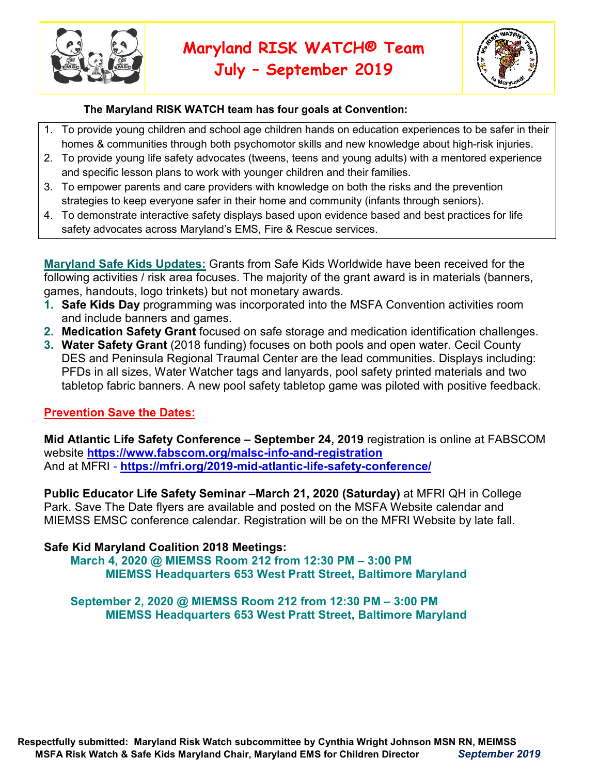

**July – September 2019**



#### **The Maryland RISK WATCH team has four goals at Convention:**

- 1. To provide young children and school age children hands on education experiences to be safer in their homes & communities through both psychomotor skills and new knowledge about high-risk injuries.
- 2. To provide young life safety advocates (tweens, teens and young adults) with a mentored experience and specific lesson plans to work with younger children and their families.
- 3. To empower parents and care providers with knowledge on both the risks and the prevention strategies to keep everyone safer in their home and community (infants through seniors).
- 4. To demonstrate interactive safety displays based upon evidence based and best practices for life safety advocates across Maryland's EMS, Fire & Rescue services.

**Maryland Safe Kids Updates:** Grants from Safe Kids Worldwide have been received for the following activities / risk area focuses. The majority of the grant award is in materials (banners, games, handouts, logo trinkets) but not monetary awards.

- **1. Safe Kids Day** programming was incorporated into the MSFA Convention activities room and include banners and games.
- **2. Medication Safety Grant** focused on safe storage and medication identification challenges.
- **3. Water Safety Grant** (2018 funding) focuses on both pools and open water. Cecil County DES and Peninsula Regional Traumal Center are the lead communities. Displays including: PFDs in all sizes, Water Watcher tags and lanyards, pool safety printed materials and two tabletop fabric banners. A new pool safety tabletop game was piloted with positive feedback.

### **Prevention Save the Dates:**

**Mid Atlantic Life Safety Conference – September 24, 2019** registration is online at FABSCOM website **https://www.fabscom.org/malsc-info-and-registration** And at MFRI - **https://mfri.org/2019-mid-atlantic-life-safety-conference/**

**Public Educator Life Safety Seminar –March 21, 2020 (Saturday)** at MFRI QH in College Park. Save The Date flyers are available and posted on the MSFA Website calendar and MIEMSS EMSC conference calendar. Registration will be on the MFRI Website by late fall.

# **Safe Kid Maryland Coalition 2018 Meetings:**

**March 4, 2020 @ MIEMSS Room 212 from 12:30 PM – 3:00 PM MIEMSS Headquarters 653 West Pratt Street, Baltimore Maryland** 

### **September 2, 2020 @ MIEMSS Room 212 from 12:30 PM – 3:00 PM MIEMSS Headquarters 653 West Pratt Street, Baltimore Maryland**